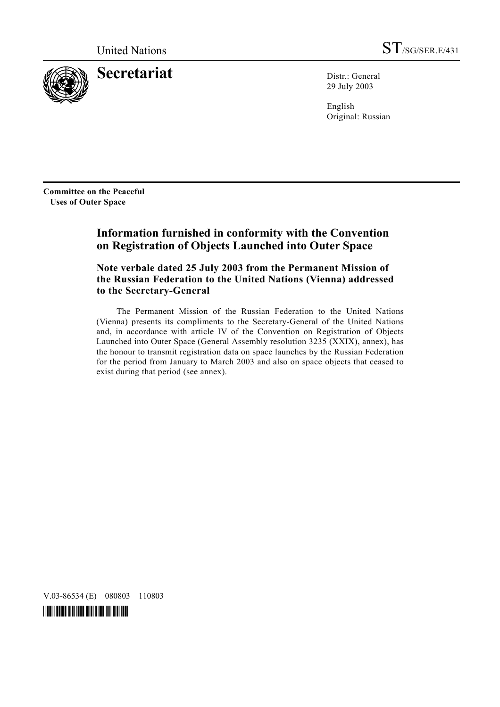

**Secretariat** Distr.: General

29 July 2003

English Original: Russian

**Committee on the Peaceful Uses of Outer Space** 

# **Information furnished in conformity with the Convention on Registration of Objects Launched into Outer Space**

 **Note verbale dated 25 July 2003 from the Permanent Mission of the Russian Federation to the United Nations (Vienna) addressed to the Secretary-General** 

 The Permanent Mission of the Russian Federation to the United Nations (Vienna) presents its compliments to the Secretary-General of the United Nations and, in accordance with article IV of the Convention on Registration of Objects Launched into Outer Space (General Assembly resolution 3235 (XXIX), annex), has the honour to transmit registration data on space launches by the Russian Federation for the period from January to March 2003 and also on space objects that ceased to exist during that period (see annex).

V.03-86534 (E) 080803 110803